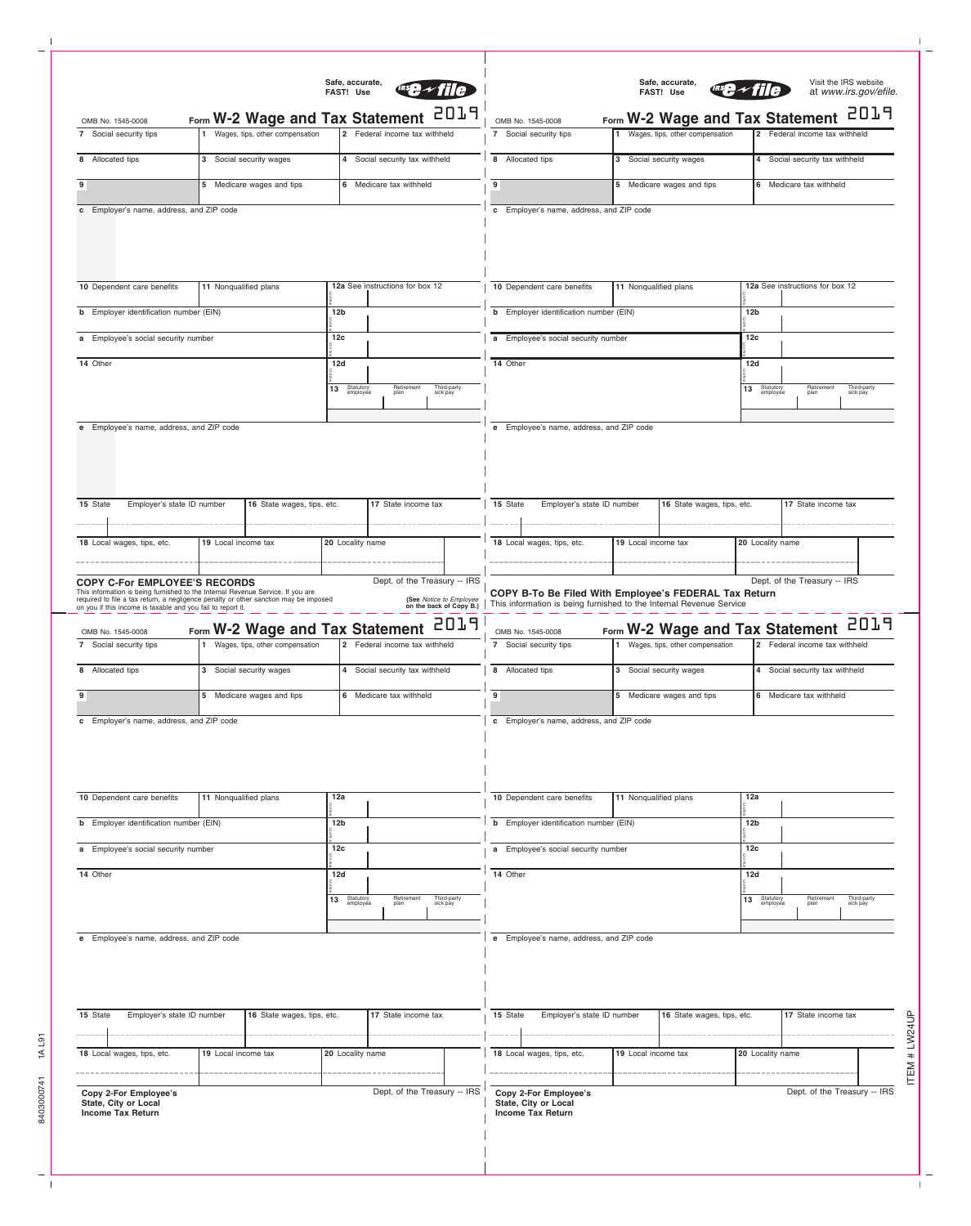| Safe, accurate,<br>FAST! Use                                                                                                                                                                                                                                                |                                                                    |                             |                                                                                    |                         | Visit the IRS website<br>Safe, accurate,<br>at www.irs.gov/efile.<br>FAST! Use                            |                                                                                                                              |                            |                                                                    |                          |                                                                              |                         |  |  |
|-----------------------------------------------------------------------------------------------------------------------------------------------------------------------------------------------------------------------------------------------------------------------------|--------------------------------------------------------------------|-----------------------------|------------------------------------------------------------------------------------|-------------------------|-----------------------------------------------------------------------------------------------------------|------------------------------------------------------------------------------------------------------------------------------|----------------------------|--------------------------------------------------------------------|--------------------------|------------------------------------------------------------------------------|-------------------------|--|--|
| 2019<br>Form W-2 Wage and Tax Statement<br>OMB No. 1545-0008                                                                                                                                                                                                                |                                                                    |                             |                                                                                    |                         |                                                                                                           | Form W-2 Wage and Tax Statement<br>OMB No. 1545-0008                                                                         |                            |                                                                    | 507                      |                                                                              |                         |  |  |
| 7 Social security tips                                                                                                                                                                                                                                                      | Wages, tips, other compensation                                    |                             | 2 Federal income tax withheld                                                      |                         |                                                                                                           | 7 Social security tips                                                                                                       |                            | Wages, tips, other compensation                                    |                          | 2 Federal income tax withheld                                                |                         |  |  |
| 8 Allocated tips                                                                                                                                                                                                                                                            | 3 Social security wages                                            |                             | 4 Social security tax withheld                                                     |                         |                                                                                                           | 8 Allocated tips                                                                                                             | 3 Social security wages    |                                                                    |                          | 4 Social security tax withheld                                               |                         |  |  |
| 9                                                                                                                                                                                                                                                                           | 5 Medicare wages and tips                                          |                             | 6 Medicare tax withheld                                                            |                         | 9                                                                                                         |                                                                                                                              | 5 Medicare wages and tips  |                                                                    | 6 Medicare tax withheld  |                                                                              |                         |  |  |
| c Employer's name, address, and ZIP code                                                                                                                                                                                                                                    |                                                                    |                             |                                                                                    |                         |                                                                                                           | c Employer's name, address, and ZIP code                                                                                     |                            |                                                                    |                          |                                                                              |                         |  |  |
|                                                                                                                                                                                                                                                                             |                                                                    |                             |                                                                                    |                         |                                                                                                           |                                                                                                                              |                            |                                                                    |                          |                                                                              |                         |  |  |
| 10 Dependent care benefits<br>11 Nonqualified plans                                                                                                                                                                                                                         |                                                                    |                             | 12a See instructions for box 12                                                    |                         |                                                                                                           | 10 Dependent care benefits                                                                                                   |                            | 11 Nonqualified plans                                              |                          | 12a See instructions for box 12                                              |                         |  |  |
| <b>b</b> Employer identification number (EIN)                                                                                                                                                                                                                               | 12 <sub>b</sub>                                                    |                             |                                                                                    |                         | <b>b</b> Employer identification number (EIN)                                                             |                                                                                                                              |                            |                                                                    | 12 <sub>b</sub>          |                                                                              |                         |  |  |
| a Employee's social security number                                                                                                                                                                                                                                         | 12 <sub>c</sub>                                                    |                             |                                                                                    |                         | a Employee's social security number                                                                       |                                                                                                                              |                            |                                                                    | 12c                      |                                                                              |                         |  |  |
| 14 Other                                                                                                                                                                                                                                                                    |                                                                    |                             | 12d                                                                                |                         |                                                                                                           | 14 Other                                                                                                                     |                            |                                                                    |                          | 12d                                                                          |                         |  |  |
|                                                                                                                                                                                                                                                                             |                                                                    |                             | Statutory<br>employee<br>Retirement<br>plan<br>Third-party<br>sick pay<br>13       |                         |                                                                                                           |                                                                                                                              |                            |                                                                    |                          | Statutory<br>employee<br>Retirement<br>plan<br>Third-party<br>sick pay<br>13 |                         |  |  |
|                                                                                                                                                                                                                                                                             |                                                                    |                             |                                                                                    |                         |                                                                                                           |                                                                                                                              |                            |                                                                    |                          |                                                                              |                         |  |  |
| e Employee's name, address, and ZIP code                                                                                                                                                                                                                                    |                                                                    |                             |                                                                                    |                         |                                                                                                           | e Employee's name, address, and ZIP code                                                                                     |                            |                                                                    |                          |                                                                              |                         |  |  |
| Employer's state ID number<br>17 State income tax<br>15 State<br>16 State wages, tips, etc.                                                                                                                                                                                 |                                                                    |                             |                                                                                    |                         | 15 State<br>Employer's state ID number<br>16 State wages, tips, etc.                                      |                                                                                                                              |                            |                                                                    | 17 State income tax      |                                                                              |                         |  |  |
|                                                                                                                                                                                                                                                                             |                                                                    |                             |                                                                                    |                         |                                                                                                           |                                                                                                                              |                            |                                                                    |                          |                                                                              |                         |  |  |
| 18 Local wages, tips, etc.                                                                                                                                                                                                                                                  | 19 Local income tax                                                | 20 Locality name            |                                                                                    |                         |                                                                                                           | 18 Local wages, tips, etc.                                                                                                   | 19 Local income tax        |                                                                    | 20 Locality name         |                                                                              |                         |  |  |
| <b>COPY C-For EMPLOYEE'S RECORDS</b><br>This information is being furnished to the Internal Revenue Service. If you are<br>required to file a tax return, a negligence penalty or other sanction may be imposed on you if this income is taxable and you fail to report it. |                                                                    |                             | Dept. of the Treasury -- IRS<br>(See Notice to Employee<br>on the back of Copy B.) | 2019                    |                                                                                                           | COPY B-To Be Filed With Employee's FEDERAL Tax Return<br>This information is being furnished to the Internal Revenue Service |                            |                                                                    |                          | Dept. of the Treasury -- IRS                                                 | 2019                    |  |  |
| OMB No. 1545-0008<br>7 Social security tips                                                                                                                                                                                                                                 | Form W-2 Wage and Tax Statement<br>Wages, tips, other compensation |                             | 2 Federal income tax withheld                                                      |                         |                                                                                                           | OMB No. 1545-0008<br>7 Social security tips                                                                                  |                            | Form W-2 Wage and Tax Statement<br>Wages, tips, other compensation |                          | 2 Federal income tax withheld                                                |                         |  |  |
| 8 Allocated tips                                                                                                                                                                                                                                                            | 3 Social security wages                                            |                             | 4 Social security tax withheld                                                     |                         | 8 Allocated tips                                                                                          |                                                                                                                              |                            | 3 Social security wages                                            |                          | 4 Social security tax withheld                                               |                         |  |  |
| 9                                                                                                                                                                                                                                                                           | 5 Medicare wages and tips                                          |                             | 6 Medicare tax withheld                                                            |                         | 9 <sup>1</sup>                                                                                            |                                                                                                                              | 5 Medicare wages and tips  |                                                                    |                          | 6 Medicare tax withheld                                                      |                         |  |  |
|                                                                                                                                                                                                                                                                             |                                                                    |                             |                                                                                    |                         | c Employer's name, address, and ZIP code                                                                  |                                                                                                                              |                            |                                                                    |                          |                                                                              |                         |  |  |
| c Employer's name, address, and ZIP code                                                                                                                                                                                                                                    |                                                                    |                             |                                                                                    |                         |                                                                                                           |                                                                                                                              |                            |                                                                    |                          |                                                                              |                         |  |  |
| 10 Dependent care benefits                                                                                                                                                                                                                                                  | 11 Nonqualified plans                                              | 12a                         |                                                                                    |                         |                                                                                                           | 10 Dependent care benefits                                                                                                   |                            | 11 Nonqualified plans                                              |                          | 12a                                                                          |                         |  |  |
| <b>b</b> Employer identification number (EIN)                                                                                                                                                                                                                               |                                                                    |                             | 12 <sub>b</sub>                                                                    |                         |                                                                                                           | <b>b</b> Employer identification number (EIN)                                                                                |                            |                                                                    | 12 <sub>b</sub>          |                                                                              |                         |  |  |
| a Employee's social security number<br>12c                                                                                                                                                                                                                                  |                                                                    |                             |                                                                                    |                         | a Employee's social security number                                                                       |                                                                                                                              |                            |                                                                    | 12c                      |                                                                              |                         |  |  |
| 14 Other                                                                                                                                                                                                                                                                    |                                                                    |                             |                                                                                    | 12d                     |                                                                                                           |                                                                                                                              | 14 Other                   |                                                                    |                          |                                                                              | 12d                     |  |  |
|                                                                                                                                                                                                                                                                             |                                                                    | Statutory<br>employee<br>13 | Retirement<br>plan                                                                 | Third-party<br>sick pay |                                                                                                           |                                                                                                                              |                            |                                                                    | 13 Statutory<br>employee | Retirement<br>plan                                                           | Third-party<br>sick pay |  |  |
|                                                                                                                                                                                                                                                                             |                                                                    |                             |                                                                                    |                         |                                                                                                           |                                                                                                                              |                            |                                                                    |                          |                                                                              |                         |  |  |
| e Employee's name, address, and ZIP code                                                                                                                                                                                                                                    |                                                                    |                             |                                                                                    |                         |                                                                                                           | e Employee's name, address, and ZIP code                                                                                     |                            |                                                                    |                          |                                                                              |                         |  |  |
| Employer's state ID number<br>17 State income tax<br>15 State<br>16 State wages, tips, etc.                                                                                                                                                                                 |                                                                    |                             |                                                                                    | 15 State                | Employer's state ID number                                                                                |                                                                                                                              | 16 State wages, tips, etc. |                                                                    | 17 State income tax      |                                                                              |                         |  |  |
|                                                                                                                                                                                                                                                                             |                                                                    |                             |                                                                                    |                         |                                                                                                           |                                                                                                                              |                            |                                                                    |                          |                                                                              |                         |  |  |
| 18 Local wages, tips, etc.                                                                                                                                                                                                                                                  | 19 Local income tax                                                | 20 Locality name            |                                                                                    |                         |                                                                                                           | 18 Local wages, tips, etc.                                                                                                   | 19 Local income tax        |                                                                    | 20 Locality name         |                                                                              | ITEM # LW24UP           |  |  |
| Dept. of the Treasury -- IRS<br>Copy 2-For Employee's<br>State, City or Local<br><b>Income Tax Return</b>                                                                                                                                                                   |                                                                    |                             |                                                                                    |                         | Dept. of the Treasury -- IRS<br>Copy 2-For Employee's<br>State, City or Local<br><b>Income Tax Return</b> |                                                                                                                              |                            |                                                                    |                          |                                                                              |                         |  |  |
|                                                                                                                                                                                                                                                                             |                                                                    |                             |                                                                                    |                         |                                                                                                           |                                                                                                                              |                            |                                                                    |                          |                                                                              |                         |  |  |

 $\mathbf{1}$ 

 $\frac{1}{\sqrt{2}}$